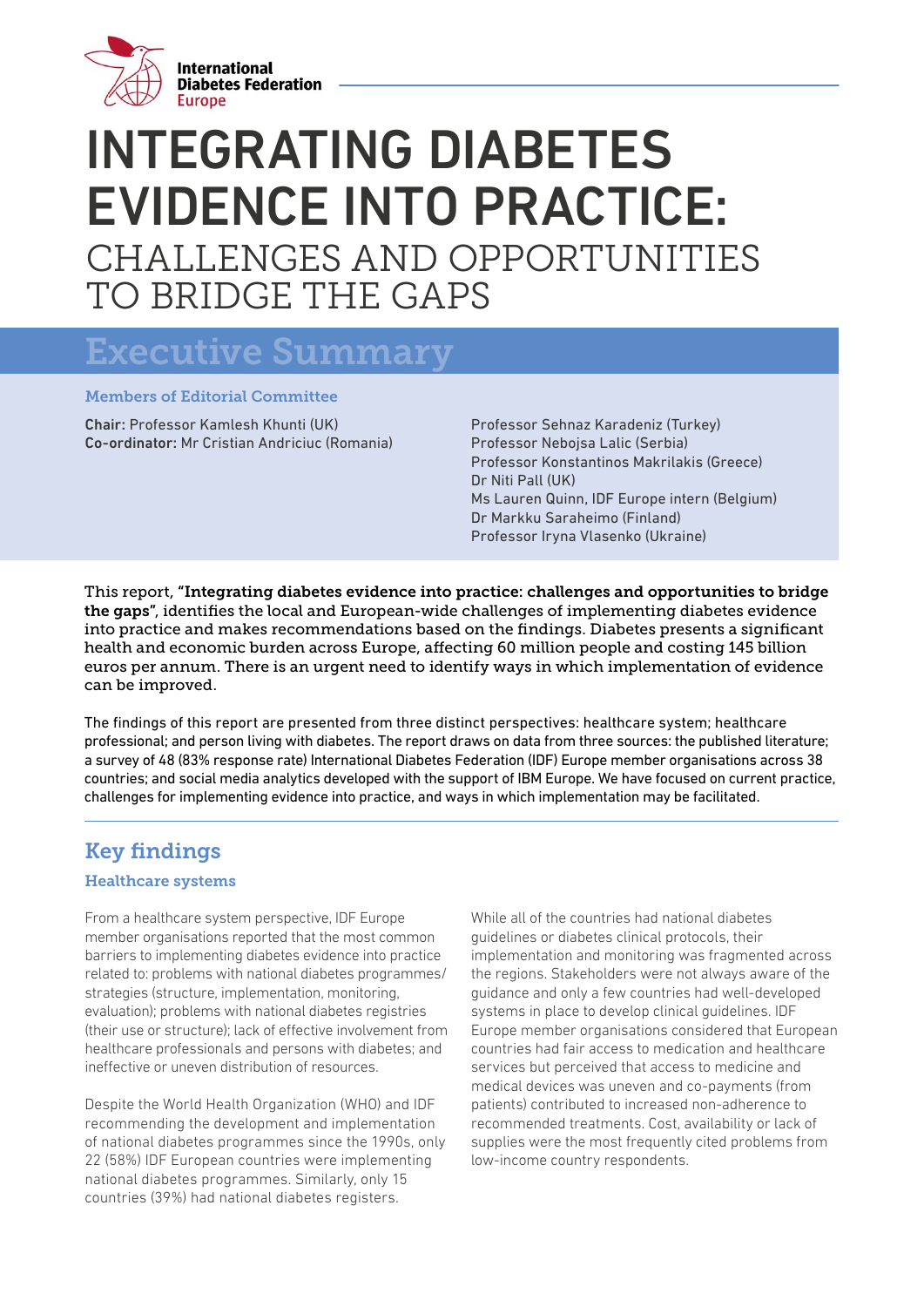

# INTEGRATING DIABETES EVIDENCE INTO PRACTICE: CHALLENGES AND OPPORTUNITIES TO BRIDGE THE GAPS

## Executive Summary

#### Members of Editorial Committee

Chair: Professor Kamlesh Khunti (UK) Co-ordinator: Mr Cristian Andriciuc (Romania) Professor Sehnaz Karadeniz (Turkey) Professor Nebojsa Lalic (Serbia) Professor Konstantinos Makrilakis (Greece) Dr Niti Pall (UK) Ms Lauren Quinn, IDF Europe intern (Belgium) Dr Markku Saraheimo (Finland) Professor Iryna Vlasenko (Ukraine)

This report, "Integrating diabetes evidence into practice: challenges and opportunities to bridge the gaps", identifies the local and European-wide challenges of implementing diabetes evidence into practice and makes recommendations based on the findings. Diabetes presents a significant health and economic burden across Europe, affecting 60 million people and costing 145 billion euros per annum. There is an urgent need to identify ways in which implementation of evidence can be improved.

The findings of this report are presented from three distinct perspectives: healthcare system; healthcare professional; and person living with diabetes. The report draws on data from three sources: the published literature; a survey of 48 (83% response rate) International Diabetes Federation (IDF) Europe member organisations across 38 countries; and social media analytics developed with the support of IBM Europe. We have focused on current practice, challenges for implementing evidence into practice, and ways in which implementation may be facilitated.

### Key findings

#### Healthcare systems

From a healthcare system perspective, IDF Europe member organisations reported that the most common barriers to implementing diabetes evidence into practice related to: problems with national diabetes programmes/ strategies (structure, implementation, monitoring, evaluation); problems with national diabetes registries (their use or structure); lack of effective involvement from healthcare professionals and persons with diabetes; and ineffective or uneven distribution of resources.

Despite the World Health Organization (WHO) and IDF recommending the development and implementation of national diabetes programmes since the 1990s, only 22 (58%) IDF European countries were implementing national diabetes programmes. Similarly, only 15 countries (39%) had national diabetes registers.

While all of the countries had national diabetes guidelines or diabetes clinical protocols, their implementation and monitoring was fragmented across the regions. Stakeholders were not always aware of the guidance and only a few countries had well-developed systems in place to develop clinical guidelines. IDF Europe member organisations considered that European countries had fair access to medication and healthcare services but perceived that access to medicine and medical devices was uneven and co-payments (from patients) contributed to increased non-adherence to recommended treatments. Cost, availability or lack of supplies were the most frequently cited problems from low-income country respondents.